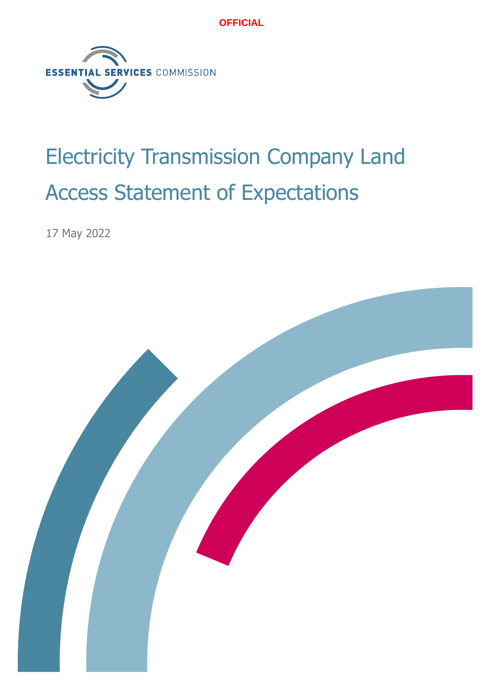

# Electricity Transmission Company Land Access Statement of Expectations

17 May 2022

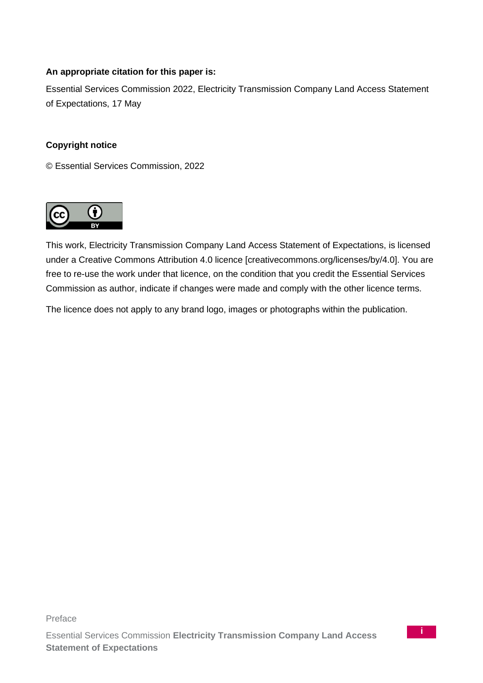#### **An appropriate citation for this paper is:**

Essential Services Commission 2022, Electricity Transmission Company Land Access Statement of Expectations, 17 May

#### **Copyright notice**

© Essential Services Commission, 2022



This work, Electricity Transmission Company Land Access Statement of Expectations, is licensed under a Creative Commons Attribution 4.0 licence [creativecommons.org/licenses/by/4.0]. You are free to re-use the work under that licence, on the condition that you credit the Essential Services Commission as author, indicate if changes were made and comply with the other licence terms.

The licence does not apply to any brand logo, images or photographs within the publication.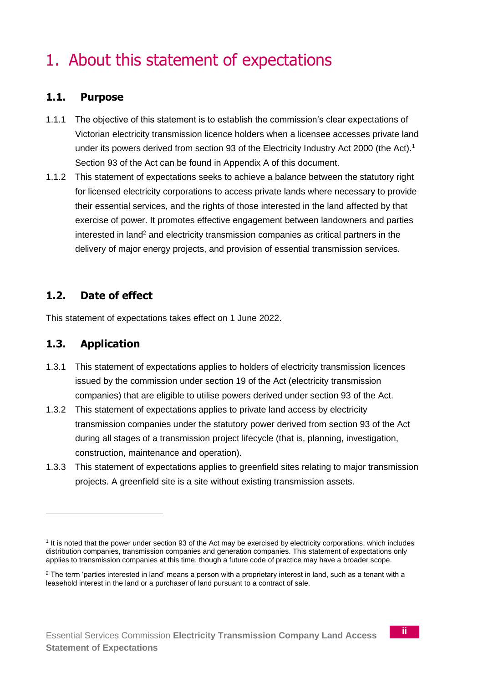# 1. About this statement of expectations

## **1.1. Purpose**

- 1.1.1 The objective of this statement is to establish the commission's clear expectations of Victorian electricity transmission licence holders when a licensee accesses private land under its powers derived from section 93 of the Electricity Industry Act 2000 (the Act).<sup>1</sup> Section 93 of the Act can be found in Appendix A of this document.
- 1.1.2 This statement of expectations seeks to achieve a balance between the statutory right for licensed electricity corporations to access private lands where necessary to provide their essential services, and the rights of those interested in the land affected by that exercise of power. It promotes effective engagement between landowners and parties  $interested$  in land<sup>2</sup> and electricity transmission companies as critical partners in the delivery of major energy projects, and provision of essential transmission services.

## **1.2. Date of effect**

This statement of expectations takes effect on 1 June 2022.

## **1.3. Application**

- 1.3.1 This statement of expectations applies to holders of electricity transmission licences issued by the commission under section 19 of the Act (electricity transmission companies) that are eligible to utilise powers derived under section 93 of the Act.
- 1.3.2 This statement of expectations applies to private land access by electricity transmission companies under the statutory power derived from section 93 of the Act during all stages of a transmission project lifecycle (that is, planning, investigation, construction, maintenance and operation).
- 1.3.3 This statement of expectations applies to greenfield sites relating to major transmission projects. A greenfield site is a site without existing transmission assets.

<sup>1</sup> It is noted that the power under section 93 of the Act may be exercised by electricity corporations, which includes distribution companies, transmission companies and generation companies. This statement of expectations only applies to transmission companies at this time, though a future code of practice may have a broader scope.

 $2$  The term 'parties interested in land' means a person with a proprietary interest in land, such as a tenant with a leasehold interest in the land or a purchaser of land pursuant to a contract of sale.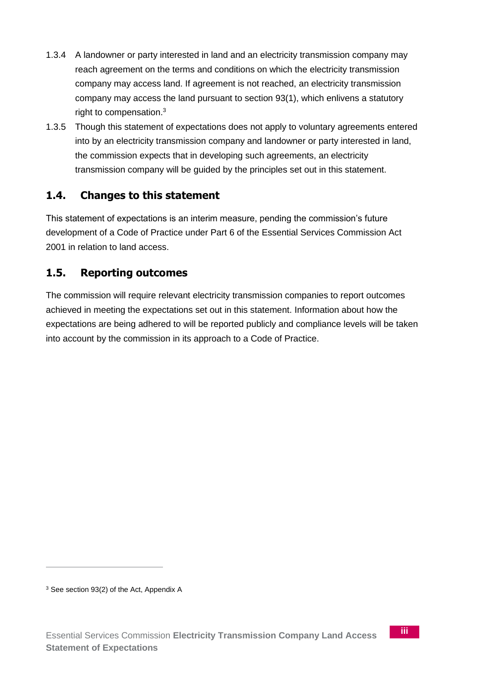- 1.3.4 A landowner or party interested in land and an electricity transmission company may reach agreement on the terms and conditions on which the electricity transmission company may access land. If agreement is not reached, an electricity transmission company may access the land pursuant to section 93(1), which enlivens a statutory right to compensation.<sup>3</sup>
- 1.3.5 Though this statement of expectations does not apply to voluntary agreements entered into by an electricity transmission company and landowner or party interested in land, the commission expects that in developing such agreements, an electricity transmission company will be guided by the principles set out in this statement.

## **1.4. Changes to this statement**

This statement of expectations is an interim measure, pending the commission's future development of a Code of Practice under Part 6 of the Essential Services Commission Act 2001 in relation to land access.

## **1.5. Reporting outcomes**

The commission will require relevant electricity transmission companies to report outcomes achieved in meeting the expectations set out in this statement. Information about how the expectations are being adhered to will be reported publicly and compliance levels will be taken into account by the commission in its approach to a Code of Practice.

<sup>&</sup>lt;sup>3</sup> See section 93(2) of the Act, Appendix A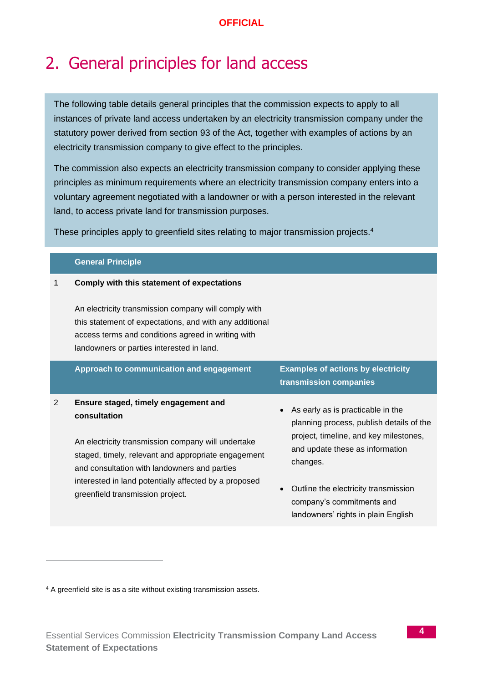## 2. General principles for land access

The following table details general principles that the commission expects to apply to all instances of private land access undertaken by an electricity transmission company under the statutory power derived from section 93 of the Act, together with examples of actions by an electricity transmission company to give effect to the principles.

The commission also expects an electricity transmission company to consider applying these principles as minimum requirements where an electricity transmission company enters into a voluntary agreement negotiated with a landowner or with a person interested in the relevant land, to access private land for transmission purposes.

These principles apply to greenfield sites relating to major transmission projects.<sup>4</sup>

#### **General Principle**

#### 1 **Comply with this statement of expectations**

An electricity transmission company will comply with this statement of expectations, and with any additional access terms and conditions agreed in writing with landowners or parties interested in land.

|   | Approach to communication and engagement                                                                                                                                                                           | <b>Examples of actions by electricity</b><br>transmission companies                                                     |
|---|--------------------------------------------------------------------------------------------------------------------------------------------------------------------------------------------------------------------|-------------------------------------------------------------------------------------------------------------------------|
| 2 | Ensure staged, timely engagement and<br>consultation                                                                                                                                                               | As early as is practicable in the<br>planning process, publish details of the<br>project, timeline, and key milestones, |
|   | An electricity transmission company will undertake<br>staged, timely, relevant and appropriate engagement<br>and consultation with landowners and parties<br>interested in land potentially affected by a proposed | and update these as information<br>changes.                                                                             |
|   | greenfield transmission project.                                                                                                                                                                                   | Outline the electricity transmission<br>company's commitments and<br>landowners' rights in plain English                |

<sup>4</sup> A greenfield site is as a site without existing transmission assets.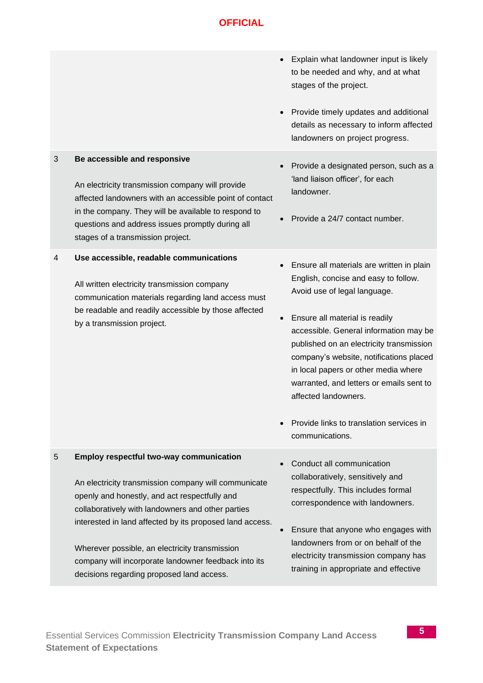| Explain what landowner input is likely<br>to be needed and why, and at what<br>stages of the project.<br>Provide timely updates and additional<br>details as necessary to inform affected<br>landowners on project progress.<br>3<br>Be accessible and responsive<br>Provide a designated person, such as a<br>'land liaison officer', for each<br>An electricity transmission company will provide<br>landowner.<br>affected landowners with an accessible point of contact<br>in the company. They will be available to respond to<br>Provide a 24/7 contact number.<br>questions and address issues promptly during all<br>stages of a transmission project.<br>Use accessible, readable communications<br>4<br>Ensure all materials are written in plain<br>English, concise and easy to follow.<br>All written electricity transmission company<br>Avoid use of legal language.<br>communication materials regarding land access must<br>be readable and readily accessible by those affected<br>Ensure all material is readily<br>$\bullet$<br>by a transmission project.<br>accessible. General information may be<br>published on an electricity transmission<br>company's website, notifications placed<br>in local papers or other media where<br>warranted, and letters or emails sent to<br>affected landowners.<br>Provide links to translation services in<br>communications.<br><b>Employ respectful two-way communication</b><br>5<br>Conduct all communication<br>collaboratively, sensitively and<br>An electricity transmission company will communicate<br>respectfully. This includes formal<br>openly and honestly, and act respectfully and<br>correspondence with landowners.<br>collaboratively with landowners and other parties<br>interested in land affected by its proposed land access.<br>Ensure that anyone who engages with<br>landowners from or on behalf of the<br>Wherever possible, an electricity transmission<br>electricity transmission company has<br>company will incorporate landowner feedback into its<br>training in appropriate and effective<br>decisions regarding proposed land access. |  |  |
|----------------------------------------------------------------------------------------------------------------------------------------------------------------------------------------------------------------------------------------------------------------------------------------------------------------------------------------------------------------------------------------------------------------------------------------------------------------------------------------------------------------------------------------------------------------------------------------------------------------------------------------------------------------------------------------------------------------------------------------------------------------------------------------------------------------------------------------------------------------------------------------------------------------------------------------------------------------------------------------------------------------------------------------------------------------------------------------------------------------------------------------------------------------------------------------------------------------------------------------------------------------------------------------------------------------------------------------------------------------------------------------------------------------------------------------------------------------------------------------------------------------------------------------------------------------------------------------------------------------------------------------------------------------------------------------------------------------------------------------------------------------------------------------------------------------------------------------------------------------------------------------------------------------------------------------------------------------------------------------------------------------------------------------------------------------------------------------------------------------------------------------------|--|--|
|                                                                                                                                                                                                                                                                                                                                                                                                                                                                                                                                                                                                                                                                                                                                                                                                                                                                                                                                                                                                                                                                                                                                                                                                                                                                                                                                                                                                                                                                                                                                                                                                                                                                                                                                                                                                                                                                                                                                                                                                                                                                                                                                              |  |  |
|                                                                                                                                                                                                                                                                                                                                                                                                                                                                                                                                                                                                                                                                                                                                                                                                                                                                                                                                                                                                                                                                                                                                                                                                                                                                                                                                                                                                                                                                                                                                                                                                                                                                                                                                                                                                                                                                                                                                                                                                                                                                                                                                              |  |  |
|                                                                                                                                                                                                                                                                                                                                                                                                                                                                                                                                                                                                                                                                                                                                                                                                                                                                                                                                                                                                                                                                                                                                                                                                                                                                                                                                                                                                                                                                                                                                                                                                                                                                                                                                                                                                                                                                                                                                                                                                                                                                                                                                              |  |  |
|                                                                                                                                                                                                                                                                                                                                                                                                                                                                                                                                                                                                                                                                                                                                                                                                                                                                                                                                                                                                                                                                                                                                                                                                                                                                                                                                                                                                                                                                                                                                                                                                                                                                                                                                                                                                                                                                                                                                                                                                                                                                                                                                              |  |  |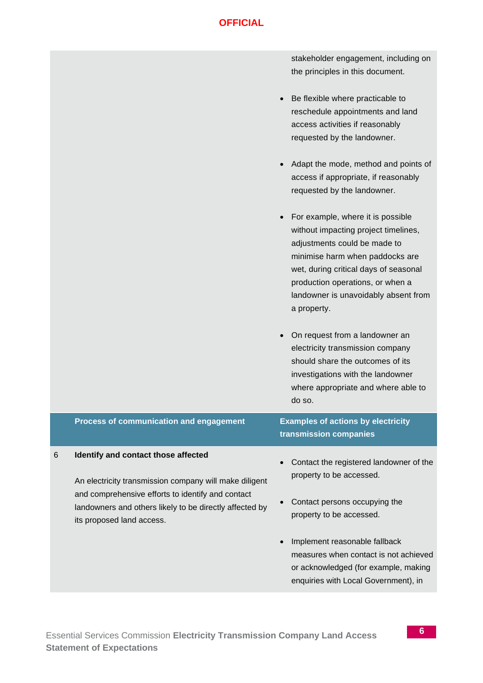stakeholder engagement, including on the principles in this document.

- Be flexible where practicable to reschedule appointments and land access activities if reasonably requested by the landowner.
- Adapt the mode, method and points of access if appropriate, if reasonably requested by the landowner.
- For example, where it is possible without impacting project timelines, adjustments could be made to minimise harm when paddocks are wet, during critical days of seasonal production operations, or when a landowner is unavoidably absent from a property.
- On request from a landowner an electricity transmission company should share the outcomes of its investigations with the landowner where appropriate and where able to do so.

|   | Process of communication and engagement                                                                                                                                                                       | <b>Examples of actions by electricity</b><br>transmission companies                                                                                    |
|---|---------------------------------------------------------------------------------------------------------------------------------------------------------------------------------------------------------------|--------------------------------------------------------------------------------------------------------------------------------------------------------|
| 6 | Identify and contact those affected<br>An electricity transmission company will make diligent<br>and comprehensive efforts to identify and contact<br>landowners and others likely to be directly affected by | Contact the registered landowner of the<br>property to be accessed.<br>Contact persons occupying the<br>property to be accessed.                       |
|   | its proposed land access.                                                                                                                                                                                     | Implement reasonable fallback<br>measures when contact is not achieved<br>or acknowledged (for example, making<br>enquiries with Local Government), in |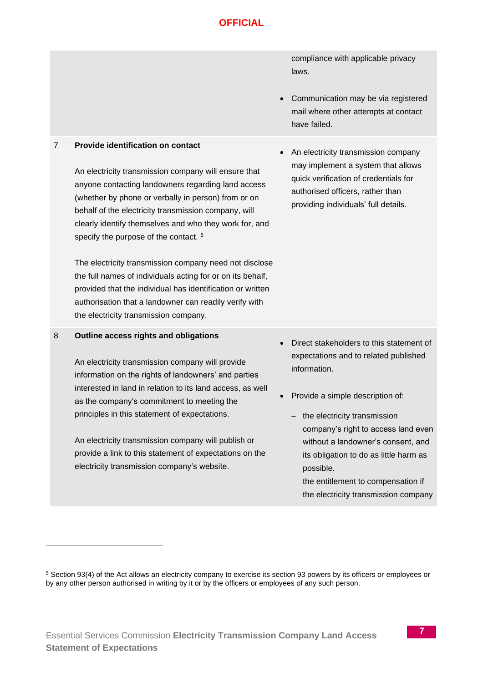compliance with applicable privacy laws.

• Communication may be via registered mail where other attempts at contact have failed.

#### 7 **Provide identification on contact**

An electricity transmission company will ensure that anyone contacting landowners regarding land access (whether by phone or verbally in person) from or on behalf of the electricity transmission company, will clearly identify themselves and who they work for, and specify the purpose of the contact.<sup>5</sup>

The electricity transmission company need not disclose the full names of individuals acting for or on its behalf, provided that the individual has identification or written authorisation that a landowner can readily verify with the electricity transmission company.

#### 8 **Outline access rights and obligations**

An electricity transmission company will provide information on the rights of landowners' and parties interested in land in relation to its land access, as well as the company's commitment to meeting the principles in this statement of expectations.

An electricity transmission company will publish or provide a link to this statement of expectations on the electricity transmission company's website.

• An electricity transmission company may implement a system that allows quick verification of credentials for authorised officers, rather than providing individuals' full details.

- Direct stakeholders to this statement of expectations and to related published information.
- Provide a simple description of:
	- − the electricity transmission company's right to access land even without a landowner's consent, and its obligation to do as little harm as possible.
	- − the entitlement to compensation if the electricity transmission company

<sup>5</sup> Section 93(4) of the Act allows an electricity company to exercise its section 93 powers by its officers or employees or by any other person authorised in writing by it or by the officers or employees of any such person.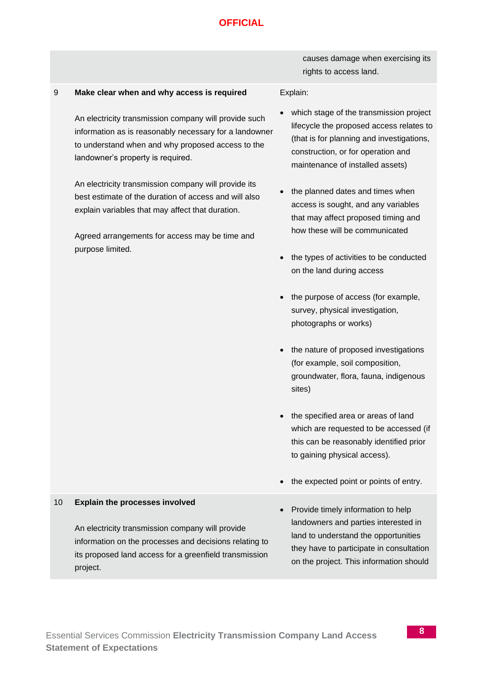#### 9 **Make clear when and why access is required**

An electricity transmission company will provide such information as is reasonably necessary for a landowner to understand when and why proposed access to the landowner's property is required.

An electricity transmission company will provide its best estimate of the duration of access and will also explain variables that may affect that duration.

Agreed arrangements for access may be time and purpose limited.

causes damage when exercising its rights to access land.

#### Explain:

- which stage of the transmission project lifecycle the proposed access relates to (that is for planning and investigations, construction, or for operation and maintenance of installed assets)
- the planned dates and times when access is sought, and any variables that may affect proposed timing and how these will be communicated
- the types of activities to be conducted on the land during access
- the purpose of access (for example, survey, physical investigation, photographs or works)
- the nature of proposed investigations (for example, soil composition, groundwater, flora, fauna, indigenous sites)
- the specified area or areas of land which are requested to be accessed (if this can be reasonably identified prior to gaining physical access).
- the expected point or points of entry.
- Provide timely information to help landowners and parties interested in land to understand the opportunities they have to participate in consultation on the project. This information should

#### 10 **Explain the processes involved**

An electricity transmission company will provide information on the processes and decisions relating to its proposed land access for a greenfield transmission project.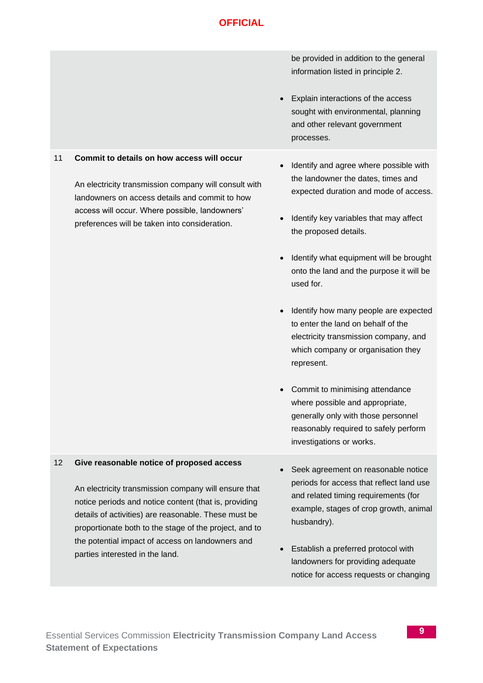|    |                                                                                                                                                                                                                                                                                                                                                                     |           | be provided in addition to the general<br>information listed in principle 2.<br>Explain interactions of the access<br>sought with environmental, planning<br>and other relevant government<br>processes.                                                                                                                                                                                                                                                                                                                                                                                                                                                   |
|----|---------------------------------------------------------------------------------------------------------------------------------------------------------------------------------------------------------------------------------------------------------------------------------------------------------------------------------------------------------------------|-----------|------------------------------------------------------------------------------------------------------------------------------------------------------------------------------------------------------------------------------------------------------------------------------------------------------------------------------------------------------------------------------------------------------------------------------------------------------------------------------------------------------------------------------------------------------------------------------------------------------------------------------------------------------------|
| 11 | Commit to details on how access will occur<br>An electricity transmission company will consult with<br>landowners on access details and commit to how<br>access will occur. Where possible, landowners'<br>preferences will be taken into consideration.                                                                                                            | $\bullet$ | Identify and agree where possible with<br>the landowner the dates, times and<br>expected duration and mode of access.<br>Identify key variables that may affect<br>the proposed details.<br>Identify what equipment will be brought<br>onto the land and the purpose it will be<br>used for.<br>Identify how many people are expected<br>to enter the land on behalf of the<br>electricity transmission company, and<br>which company or organisation they<br>represent.<br>Commit to minimising attendance<br>where possible and appropriate,<br>generally only with those personnel<br>reasonably required to safely perform<br>investigations or works. |
| 12 | Give reasonable notice of proposed access<br>An electricity transmission company will ensure that<br>notice periods and notice content (that is, providing<br>details of activities) are reasonable. These must be<br>proportionate both to the stage of the project, and to<br>the potential impact of access on landowners and<br>parties interested in the land. |           | Seek agreement on reasonable notice<br>periods for access that reflect land use<br>and related timing requirements (for<br>example, stages of crop growth, animal<br>husbandry).<br>Establish a preferred protocol with<br>landowners for providing adequate<br>notice for access requests or changing                                                                                                                                                                                                                                                                                                                                                     |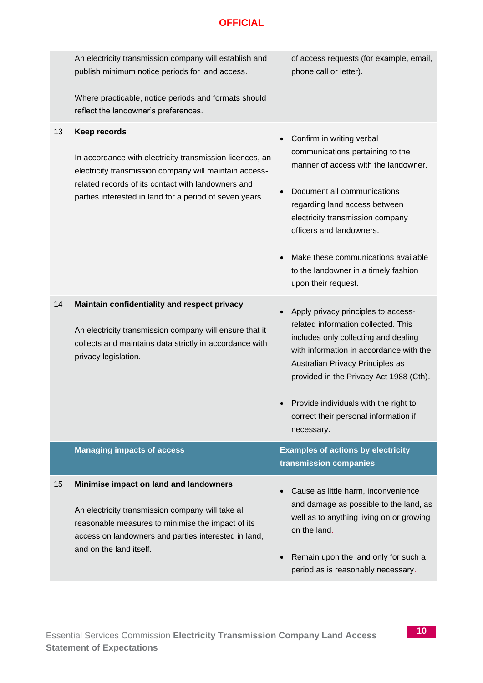| 13 | An electricity transmission company will establish and<br>publish minimum notice periods for land access.<br>Where practicable, notice periods and formats should<br>reflect the landowner's preferences.<br><b>Keep records</b>    | of access requests (for example, email,<br>phone call or letter).<br>Confirm in writing verbal<br>$\bullet$                                                                                                                                                                                                                                               |
|----|-------------------------------------------------------------------------------------------------------------------------------------------------------------------------------------------------------------------------------------|-----------------------------------------------------------------------------------------------------------------------------------------------------------------------------------------------------------------------------------------------------------------------------------------------------------------------------------------------------------|
|    | In accordance with electricity transmission licences, an<br>electricity transmission company will maintain access-<br>related records of its contact with landowners and<br>parties interested in land for a period of seven years. | communications pertaining to the<br>manner of access with the landowner.<br>Document all communications<br>$\bullet$<br>regarding land access between<br>electricity transmission company<br>officers and landowners.<br>Make these communications available<br>$\bullet$<br>to the landowner in a timely fashion<br>upon their request.                  |
| 14 | Maintain confidentiality and respect privacy<br>An electricity transmission company will ensure that it<br>collects and maintains data strictly in accordance with<br>privacy legislation.                                          | Apply privacy principles to access-<br>$\bullet$<br>related information collected. This<br>includes only collecting and dealing<br>with information in accordance with the<br>Australian Privacy Principles as<br>provided in the Privacy Act 1988 (Cth).<br>Provide individuals with the right to<br>correct their personal information if<br>necessary. |
|    | <b>Managing impacts of access</b>                                                                                                                                                                                                   | <b>Examples of actions by electricity</b><br>transmission companies                                                                                                                                                                                                                                                                                       |
| 15 | Minimise impact on land and landowners<br>An electricity transmission company will take all<br>reasonable measures to minimise the impact of its<br>access on landowners and parties interested in land,<br>and on the land itself. | Cause as little harm, inconvenience<br>and damage as possible to the land, as<br>well as to anything living on or growing<br>on the land.<br>Remain upon the land only for such a<br>$\bullet$<br>period as is reasonably necessary.                                                                                                                      |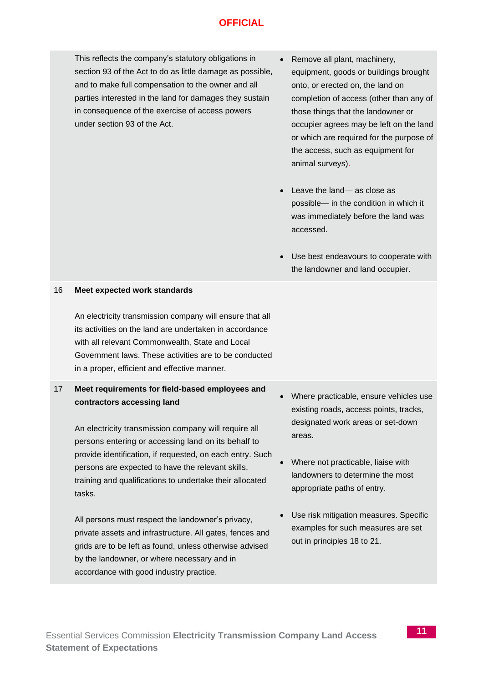This reflects the company's statutory obligations in section 93 of the Act to do as little damage as possible, and to make full compensation to the owner and all parties interested in the land for damages they sustain in consequence of the exercise of access powers under section 93 of the Act.

- Remove all plant, machinery, equipment, goods or buildings brought onto, or erected on, the land on completion of access (other than any of those things that the landowner or occupier agrees may be left on the land or which are required for the purpose of the access, such as equipment for animal surveys).
- Leave the land— as close as possible— in the condition in which it was immediately before the land was accessed.
- Use best endeavours to cooperate with the landowner and land occupier.

#### 16 **Meet expected work standards**

An electricity transmission company will ensure that all its activities on the land are undertaken in accordance with all relevant Commonwealth, State and Local Government laws. These activities are to be conducted in a proper, efficient and effective manner.

#### 17 **Meet requirements for field-based employees and contractors accessing land**

An electricity transmission company will require all persons entering or accessing land on its behalf to provide identification, if requested, on each entry. Such persons are expected to have the relevant skills, training and qualifications to undertake their allocated tasks.

All persons must respect the landowner's privacy, private assets and infrastructure. All gates, fences and grids are to be left as found, unless otherwise advised by the landowner, or where necessary and in accordance with good industry practice.

- Where practicable, ensure vehicles use existing roads, access points, tracks, designated work areas or set-down areas.
- Where not practicable, liaise with landowners to determine the most appropriate paths of entry.
- Use risk mitigation measures. Specific examples for such measures are set out in principles 18 to 21.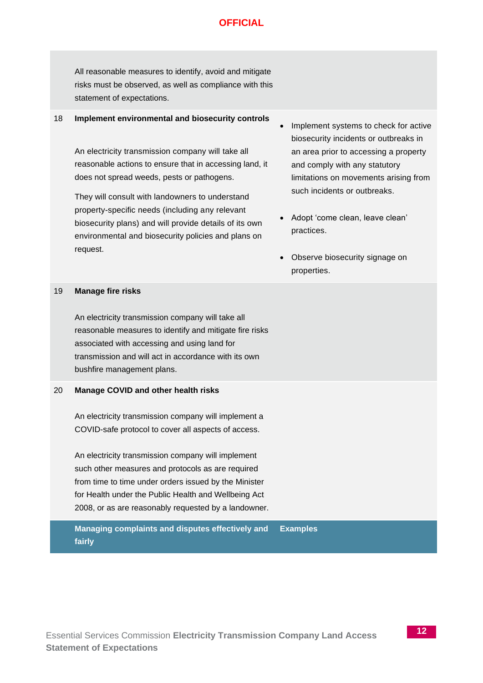All reasonable measures to identify, avoid and mitigate risks must be observed, as well as compliance with this statement of expectations.

#### 18 **Implement environmental and biosecurity controls**

An electricity transmission company will take all reasonable actions to ensure that in accessing land, it does not spread weeds, pests or pathogens.

They will consult with landowners to understand property-specific needs (including any relevant biosecurity plans) and will provide details of its own environmental and biosecurity policies and plans on request.

- Implement systems to check for active biosecurity incidents or outbreaks in an area prior to accessing a property and comply with any statutory limitations on movements arising from such incidents or outbreaks.
- Adopt 'come clean, leave clean' practices.
- Observe biosecurity signage on properties.

#### 19 **Manage fire risks**

An electricity transmission company will take all reasonable measures to identify and mitigate fire risks associated with accessing and using land for transmission and will act in accordance with its own bushfire management plans.

#### 20 **Manage COVID and other health risks**

An electricity transmission company will implement a COVID-safe protocol to cover all aspects of access.

An electricity transmission company will implement such other measures and protocols as are required from time to time under orders issued by the Minister for Health under the Public Health and Wellbeing Act 2008, or as are reasonably requested by a landowner.

**Managing complaints and disputes effectively and fairly Examples**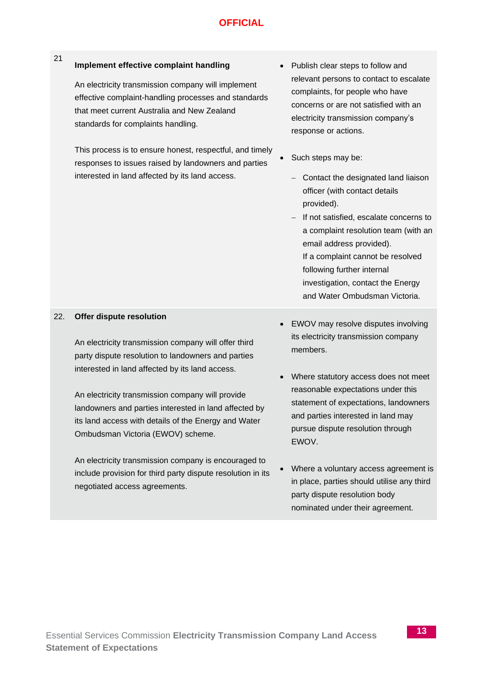#### 21 **Implement effective complaint handling**

An electricity transmission company will implement effective complaint-handling processes and standards that meet current Australia and New Zealand standards for complaints handling.

This process is to ensure honest, respectful, and timely responses to issues raised by landowners and parties interested in land affected by its land access.

- Publish clear steps to follow and relevant persons to contact to escalate complaints, for people who have concerns or are not satisfied with an electricity transmission company's response or actions.
	- Such steps may be:
	- − Contact the designated land liaison officer (with contact details provided).
	- − If not satisfied, escalate concerns to a complaint resolution team (with an email address provided). If a complaint cannot be resolved following further internal investigation, contact the Energy and Water Ombudsman Victoria.

#### 22. **Offer dispute resolution**

An electricity transmission company will offer third party dispute resolution to landowners and parties interested in land affected by its land access.

An electricity transmission company will provide landowners and parties interested in land affected by its land access with details of the Energy and Water Ombudsman Victoria (EWOV) scheme.

An electricity transmission company is encouraged to include provision for third party dispute resolution in its negotiated access agreements.

- EWOV may resolve disputes involving its electricity transmission company members.
- Where statutory access does not meet reasonable expectations under this statement of expectations, landowners and parties interested in land may pursue dispute resolution through EWOV.
- Where a voluntary access agreement is in place, parties should utilise any third party dispute resolution body nominated under their agreement.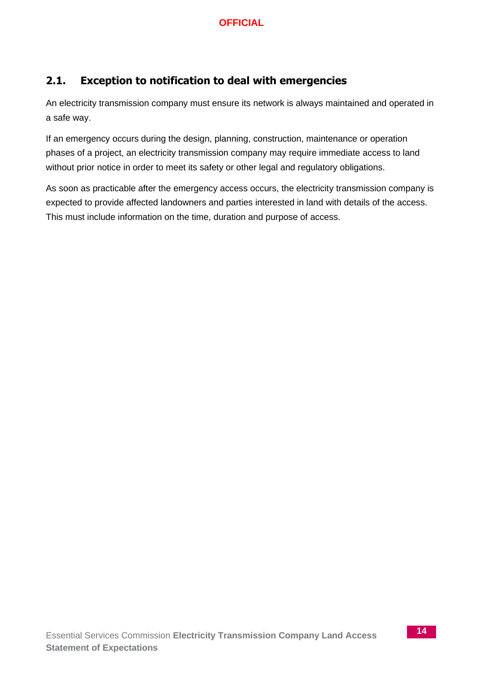## **2.1. Exception to notification to deal with emergencies**

An electricity transmission company must ensure its network is always maintained and operated in a safe way.

If an emergency occurs during the design, planning, construction, maintenance or operation phases of a project, an electricity transmission company may require immediate access to land without prior notice in order to meet its safety or other legal and regulatory obligations.

As soon as practicable after the emergency access occurs, the electricity transmission company is expected to provide affected landowners and parties interested in land with details of the access. This must include information on the time, duration and purpose of access.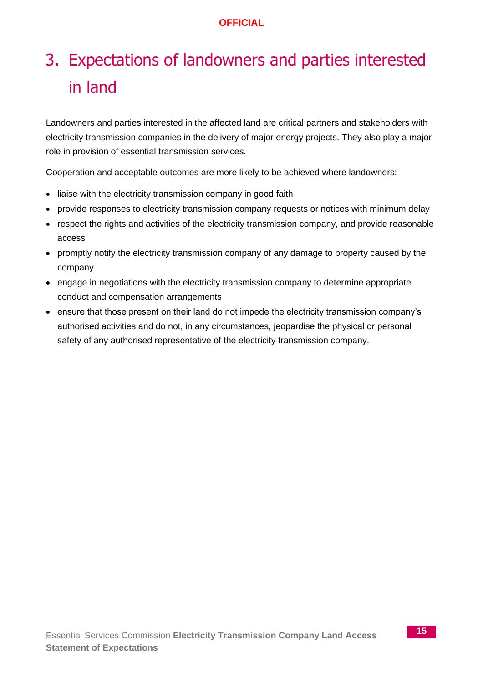# 3. Expectations of landowners and parties interested in land

Landowners and parties interested in the affected land are critical partners and stakeholders with electricity transmission companies in the delivery of major energy projects. They also play a major role in provision of essential transmission services.

Cooperation and acceptable outcomes are more likely to be achieved where landowners:

- liaise with the electricity transmission company in good faith
- provide responses to electricity transmission company requests or notices with minimum delay
- respect the rights and activities of the electricity transmission company, and provide reasonable access
- promptly notify the electricity transmission company of any damage to property caused by the company
- engage in negotiations with the electricity transmission company to determine appropriate conduct and compensation arrangements
- ensure that those present on their land do not impede the electricity transmission company's authorised activities and do not, in any circumstances, jeopardise the physical or personal safety of any authorised representative of the electricity transmission company.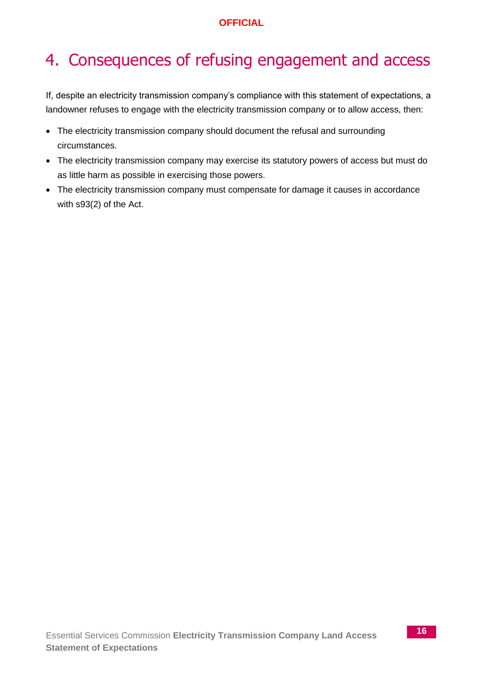# 4. Consequences of refusing engagement and access

If, despite an electricity transmission company's compliance with this statement of expectations, a landowner refuses to engage with the electricity transmission company or to allow access, then:

- The electricity transmission company should document the refusal and surrounding circumstances.
- The electricity transmission company may exercise its statutory powers of access but must do as little harm as possible in exercising those powers.
- The electricity transmission company must compensate for damage it causes in accordance with s93(2) of the Act.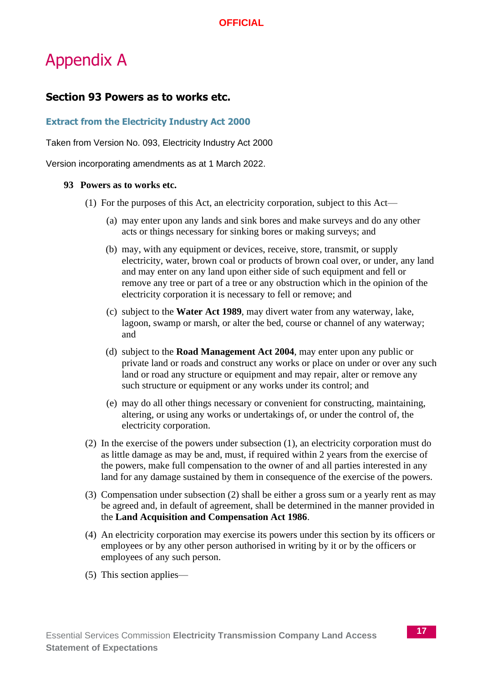# Appendix A

## **Section 93 Powers as to works etc.**

#### **Extract from the Electricity Industry Act 2000**

Taken from Version No. 093, Electricity Industry Act 2000

Version incorporating amendments as at 1 March 2022.

#### **93 Powers as to works etc.**

- (1) For the purposes of this Act, an electricity corporation, subject to this Act—
	- (a) may enter upon any lands and sink bores and make surveys and do any other acts or things necessary for sinking bores or making surveys; and
	- (b) may, with any equipment or devices, receive, store, transmit, or supply electricity, water, brown coal or products of brown coal over, or under, any land and may enter on any land upon either side of such equipment and fell or remove any tree or part of a tree or any obstruction which in the opinion of the electricity corporation it is necessary to fell or remove; and
	- (c) subject to the **Water Act 1989**, may divert water from any waterway, lake, lagoon, swamp or marsh, or alter the bed, course or channel of any waterway; and
	- (d) subject to the **Road Management Act 2004**, may enter upon any public or private land or roads and construct any works or place on under or over any such land or road any structure or equipment and may repair, alter or remove any such structure or equipment or any works under its control; and
	- (e) may do all other things necessary or convenient for constructing, maintaining, altering, or using any works or undertakings of, or under the control of, the electricity corporation.
- (2) In the exercise of the powers under subsection (1), an electricity corporation must do as little damage as may be and, must, if required within 2 years from the exercise of the powers, make full compensation to the owner of and all parties interested in any land for any damage sustained by them in consequence of the exercise of the powers.
- (3) Compensation under subsection (2) shall be either a gross sum or a yearly rent as may be agreed and, in default of agreement, shall be determined in the manner provided in the **Land Acquisition and Compensation Act 1986**.
- (4) An electricity corporation may exercise its powers under this section by its officers or employees or by any other person authorised in writing by it or by the officers or employees of any such person.
- (5) This section applies—